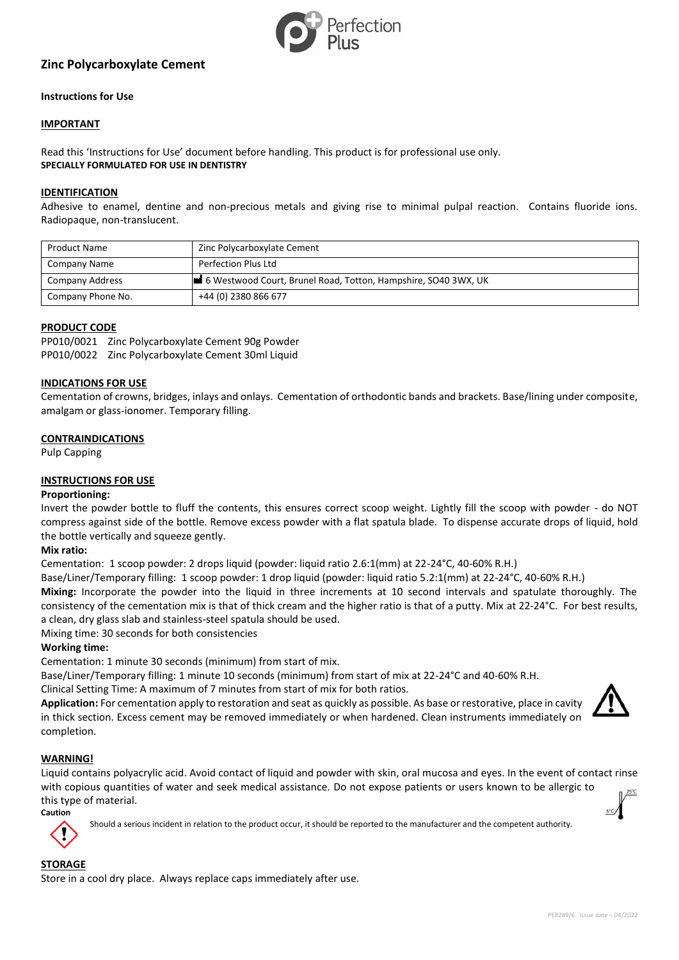

# **Zinc Polycarboxylate Cement**

## **Instructions for Use**

## **IMPORTANT**

Read this 'Instructions for Use' document before handling. This product is for professional use only. **SPECIALLY FORMULATED FOR USE IN DENTISTRY**

#### **IDENTIFICATION**

Adhesive to enamel, dentine and non-precious metals and giving rise to minimal pulpal reaction. Contains fluoride ions. Radiopaque, non-translucent.

| <b>Product Name</b> | Zinc Polycarboxylate Cement                                    |
|---------------------|----------------------------------------------------------------|
| Company Name        | Perfection Plus Ltd                                            |
| Company Address     | 6 Westwood Court, Brunel Road, Totton, Hampshire, SO40 3WX, UK |
| Company Phone No.   | +44 (0) 2380 866 677                                           |

## **PRODUCT CODE**

PP010/0021 Zinc Polycarboxylate Cement 90g Powder PP010/0022 Zinc Polycarboxylate Cement 30ml Liquid

## **INDICATIONS FOR USE**

Cementation of crowns, bridges, inlays and onlays. Cementation of orthodontic bands and brackets. Base/lining under composite, amalgam or glass-ionomer. Temporary filling.

#### **CONTRAINDICATIONS**

Pulp Capping

## **INSTRUCTIONS FOR USE**

#### **Proportioning:**

Invert the powder bottle to fluff the contents, this ensures correct scoop weight. Lightly fill the scoop with powder - do NOT compress against side of the bottle. Remove excess powder with a flat spatula blade. To dispense accurate drops of liquid, hold the bottle vertically and squeeze gently.

#### **Mix ratio:**

Cementation: 1 scoop powder: 2 drops liquid (powder: liquid ratio 2.6:1(mm) at 22-24°C, 40-60% R.H.)

Base/Liner/Temporary filling: 1 scoop powder: 1 drop liquid (powder: liquid ratio 5.2:1(mm) at 22-24°C, 40-60% R.H.)

**Mixing:** Incorporate the powder into the liquid in three increments at 10 second intervals and spatulate thoroughly. The consistency of the cementation mix is that of thick cream and the higher ratio is that of a putty. Mix at 22-24°C. For best results, a clean, dry glass slab and stainless-steel spatula should be used.

Mixing time: 30 seconds for both consistencies

#### **Working time:**

Cementation: 1 minute 30 seconds (minimum) from start of mix.

Base/Liner/Temporary filling: 1 minute 10 seconds (minimum) from start of mix at 22-24°C and 40-60% R.H.

Clinical Setting Time: A maximum of 7 minutes from start of mix for both ratios.

**Application:** For cementation apply to restoration and seat as quickly as possible. As base or restorative, place in cavity in thick section. Excess cement may be removed immediately or when hardened. Clean instruments immediately on completion.



## **WARNING!**

Liquid contains polyacrylic acid. Avoid contact of liquid and powder with skin, oral mucosa and eyes. In the event of contact rinse with copious quantities of water and seek medical assistance. Do not expose patients or users known to be allergic to this type of material.

**Caution**

Should a serious incident in relation to the product occur, it should be reported to the manufacturer and the competent authority.

## **STORAGE**

Store in a cool dry place. Always replace caps immediately after use.